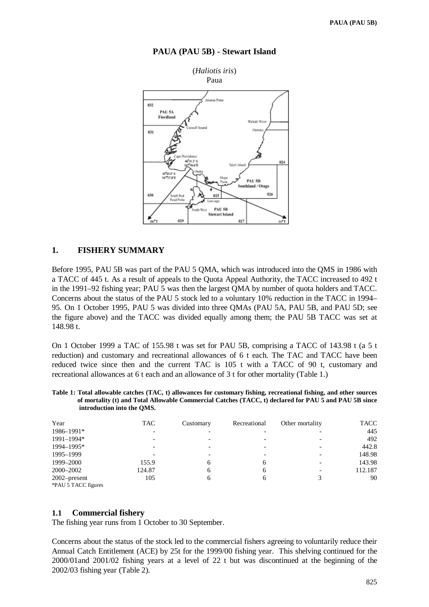

### **PAUA (PAU 5B) - Stewart Island**

# **1. FISHERY SUMMARY**

Before 1995, PAU 5B was part of the PAU 5 QMA, which was introduced into the QMS in 1986 with a TACC of 445 t. As a result of appeals to the Quota Appeal Authority, the TACC increased to 492 t in the 1991–92 fishing year; PAU 5 was then the largest QMA by number of quota holders and TACC. Concerns about the status of the PAU 5 stock led to a voluntary 10% reduction in the TACC in 1994– 95. On 1 October 1995, PAU 5 was divided into three QMAs (PAU 5A, PAU 5B, and PAU 5D; see the figure above) and the TACC was divided equally among them; the PAU 5B TACC was set at 148.98 t.

On 1 October 1999 a TAC of 155.98 t was set for PAU 5B, comprising a TACC of 143.98 t (a 5 t reduction) and customary and recreational allowances of 6 t each. The TAC and TACC have been reduced twice since then and the current TAC is 105 t with a TACC of 90 t, customary and recreational allowances at 6 t each and an allowance of 3 t for other mortality (Table 1.)

**Table 1: Total allowable catches (TAC, t) allowances for customary fishing, recreational fishing, and other sources of mortality (t) and Total Allowable Commercial Catches (TACC, t) declared for PAU 5 and PAU 5B since introduction into the QMS.**

| Year                              | TAC    | Customary | Recreational | Other mortality | <b>TACC</b> |
|-----------------------------------|--------|-----------|--------------|-----------------|-------------|
| 1986-1991*                        |        |           |              |                 | 445         |
| 1991-1994*                        |        |           |              |                 | 492         |
| 1994-1995*                        |        |           |              |                 | 442.8       |
| 1995-1999                         |        |           |              |                 | 148.98      |
| 1999–2000                         | 155.9  | 6         | 6            |                 | 143.98      |
| 2000-2002                         | 124.87 | 6         | <sub>6</sub> |                 | 112.187     |
| $2002$ -present<br>$*$ DAILETHOCL | 105    | 6         |              |                 | 90          |

\*PAU 5 TACC figures

### **1.1 Commercial fishery**

The fishing year runs from 1 October to 30 September.

Concerns about the status of the stock led to the commercial fishers agreeing to voluntarily reduce their Annual Catch Entitlement (ACE) by 25t for the 1999/00 fishing year. This shelving continued for the 2000/01and 2001/02 fishing years at a level of 22 t but was discontinued at the beginning of the 2002/03 fishing year (Table 2).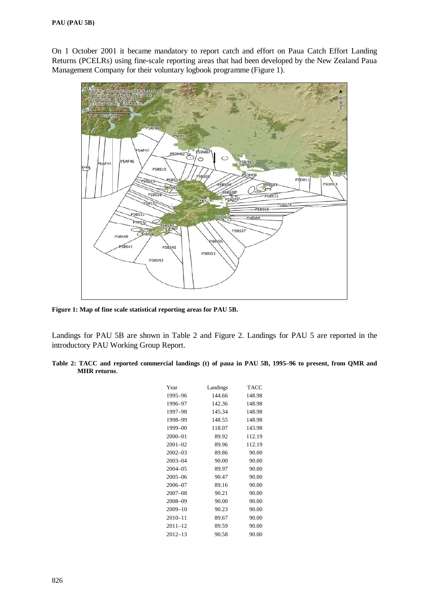On 1 October 2001 it became mandatory to report catch and effort on Paua Catch Effort Landing Returns (PCELRs) using fine-scale reporting areas that had been developed by the New Zealand Paua Management Company for their voluntary logbook programme (Figure 1).



**Figure 1: Map of fine scale statistical reporting areas for PAU 5B.**

Landings for PAU 5B are shown in Table 2 and Figure 2. Landings for PAU 5 are reported in the introductory PAU Working Group Report.

**Table 2: TACC and reported commercial landings (t) of paua in PAU 5B, 1995–96 to present, from QMR and MHR returns**.

| Year        | Landings | <b>TACC</b> |
|-------------|----------|-------------|
| 1995-96     | 144.66   | 148.98      |
| 1996–97     | 142.36   | 148.98      |
| 1997–98     | 145.34   | 148.98      |
| 1998-99     | 148.55   | 148.98      |
| 1999-00     | 118.07   | 143.98      |
| 2000-01     | 89.92    | 112.19      |
| $2001 - 02$ | 89.96    | 112.19      |
| $2002 - 03$ | 89.86    | 90.00       |
| $2003 - 04$ | 90.00    | 90.00       |
| $2004 - 05$ | 89.97    | 90.00       |
| $2005 - 06$ | 90.47    | 90.00       |
| 2006-07     | 89.16    | 90.00       |
| $2007 - 08$ | 90.21    | 90.00       |
| 2008-09     | 90.00    | 90.00       |
| $2009 - 10$ | 90.23    | 90.00       |
| $2010 - 11$ | 89.67    | 90.00       |
| $2011 - 12$ | 89.59    | 90.00       |
| $2012 - 13$ | 90.58    | 90.00       |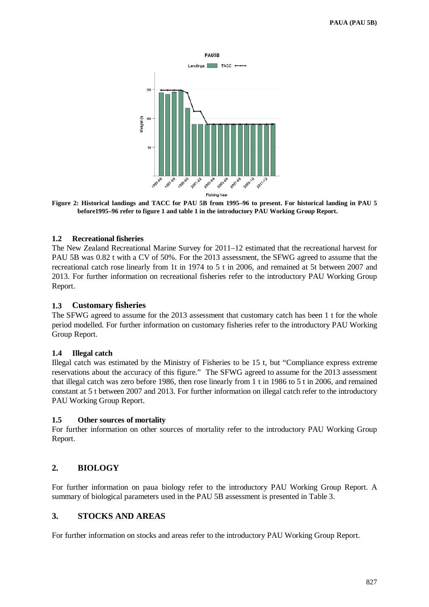

**Figure 2: Historical landings and TACC for PAU 5B from 1995–96 to present. For historical landing in PAU 5 before1995–96 refer to figure 1 and table 1 in the introductory PAU Working Group Report.**

## **1.2 Recreational fisheries**

The New Zealand Recreational Marine Survey for 2011–12 estimated that the recreational harvest for PAU 5B was 0.82 t with a CV of 50%. For the 2013 assessment, the SFWG agreed to assume that the recreational catch rose linearly from 1t in 1974 to 5 t in 2006, and remained at 5t between 2007 and 2013. For further information on recreational fisheries refer to the introductory PAU Working Group Report.

### **1.3 Customary fisheries**

The SFWG agreed to assume for the 2013 assessment that customary catch has been 1 t for the whole period modelled. For further information on customary fisheries refer to the introductory PAU Working Group Report.

### **1.4 Illegal catch**

Illegal catch was estimated by the Ministry of Fisheries to be 15 t, but "Compliance express extreme reservations about the accuracy of this figure." The SFWG agreed to assume for the 2013 assessment that illegal catch was zero before 1986, then rose linearly from 1 t in 1986 to 5 t in 2006, and remained constant at 5 t between 2007 and 2013. For further information on illegal catch refer to the introductory PAU Working Group Report.

### **1.5 Other sources of mortality**

For further information on other sources of mortality refer to the introductory PAU Working Group Report.

## **2. BIOLOGY**

For further information on paua biology refer to the introductory PAU Working Group Report. A summary of biological parameters used in the PAU 5B assessment is presented in Table 3.

# **3. STOCKS AND AREAS**

For further information on stocks and areas refer to the introductory PAU Working Group Report.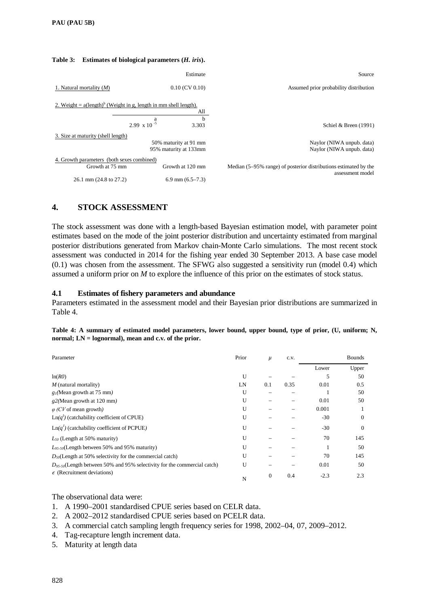#### **Table 3: Estimates of biological parameters (***H. iris***).**

|                                                                            |                   | Estimate                                       | Source                                                           |
|----------------------------------------------------------------------------|-------------------|------------------------------------------------|------------------------------------------------------------------|
| 1. Natural mortality $(M)$                                                 |                   | $0.10$ (CV $0.10$ )                            | Assumed prior probability distribution                           |
| 2. Weight = $a(\text{length})^b$ (Weight in g, length in mm shell length). |                   | All                                            |                                                                  |
|                                                                            | 2.99 x 10 $^{-5}$ | h<br>3.303                                     | Schiel & Breen (1991)                                            |
| 3. Size at maturity (shell length)                                         |                   |                                                |                                                                  |
|                                                                            |                   | 50% maturity at 91 mm<br>95% maturity at 133mm | Naylor (NIWA unpub. data)<br>Naylor (NIWA unpub. data)           |
| 4. Growth parameters (both sexes combined)                                 |                   |                                                |                                                                  |
| Growth at 75 mm                                                            |                   | Growth at 120 mm                               | Median (5–95% range) of posterior distributions estimated by the |
| 26.1 mm (24.8 to 27.2)                                                     |                   | $6.9$ mm $(6.5-7.3)$                           | assessment model                                                 |

# **4. STOCK ASSESSMENT**

The stock assessment was done with a length-based Bayesian estimation model, with parameter point estimates based on the mode of the joint posterior distribution and uncertainty estimated from marginal posterior distributions generated from Markov chain-Monte Carlo simulations. The most recent stock assessment was conducted in 2014 for the fishing year ended 30 September 2013. A base case model (0.1) was chosen from the assessment. The SFWG also suggested a sensitivity run (model 0.4) which assumed a uniform prior on *M* to explore the influence of this prior on the estimates of stock status.

### **4.1 Estimates of fishery parameters and abundance**

Parameters estimated in the assessment model and their Bayesian prior distributions are summarized in Table 4.

| Table 4: A summary of estimated model parameters, lower bound, upper bound, type of prior, (U, uniform; N, |  |  |
|------------------------------------------------------------------------------------------------------------|--|--|
| normal; $LN = lognormal$ , mean and c.v. of the prior.                                                     |  |  |

| Parameter                                                                     | Prior | $\mu$          | C.V. |        | <b>Bounds</b> |
|-------------------------------------------------------------------------------|-------|----------------|------|--------|---------------|
|                                                                               |       |                |      | Lower  | Upper         |
| ln(RO)                                                                        | U     |                |      | 5      | 50            |
| $M$ (natural mortality)                                                       | LN    | 0.1            | 0.35 | 0.01   | 0.5           |
| $g_l$ (Mean growth at 75 mm)                                                  | U     |                |      |        | 50            |
| $g2$ (Mean growth at 120 mm)                                                  | U     |                |      | 0.01   | 50            |
| $\varphi$ (CV of mean growth)                                                 | U     |                |      | 0.001  |               |
| $\text{Ln}(q^{l})$ (catchability coefficient of CPUE)                         | U     |                |      | $-30$  | $\Omega$      |
| $Ln(q^{J})$ (catchability coefficient of PCPUE)                               | U     |                |      | $-30$  | $\Omega$      |
| $L_{50}$ (Length at 50% maturity)                                             | U     |                |      | 70     | 145           |
| $L_{95-50}$ (Length between 50% and 95% maturity)                             | U     |                |      |        | 50            |
| $D_{50}$ (Length at 50% selectivity for the commercial catch)                 | U     |                |      | 70     | 145           |
| $D_{95,50}$ (Length between 50% and 95% selectivity for the commercial catch) | U     |                |      | 0.01   | 50            |
| $\epsilon$ (Recruitment deviations)                                           | N     | $\overline{0}$ | 0.4  | $-2.3$ | 2.3           |

The observational data were:

- 1. A 1990–2001 standardised CPUE series based on CELR data.
- 2. A 2002–2012 standardised CPUE series based on PCELR data.
- 3. A commercial catch sampling length frequency series for 1998, 2002–04, 07, 2009–2012.
- 4. Tag-recapture length increment data.
- 5. Maturity at length data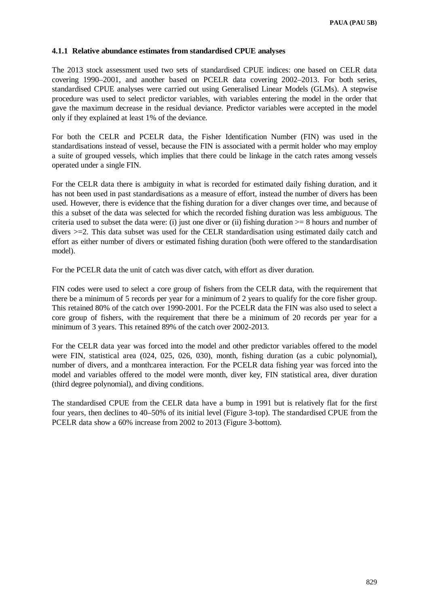### **4.1.1 Relative abundance estimates from standardised CPUE analyses**

The 2013 stock assessment used two sets of standardised CPUE indices: one based on CELR data covering 1990–2001, and another based on PCELR data covering 2002–2013. For both series, standardised CPUE analyses were carried out using Generalised Linear Models (GLMs). A stepwise procedure was used to select predictor variables, with variables entering the model in the order that gave the maximum decrease in the residual deviance. Predictor variables were accepted in the model only if they explained at least 1% of the deviance.

For both the CELR and PCELR data, the Fisher Identification Number (FIN) was used in the standardisations instead of vessel, because the FIN is associated with a permit holder who may employ a suite of grouped vessels, which implies that there could be linkage in the catch rates among vessels operated under a single FIN.

For the CELR data there is ambiguity in what is recorded for estimated daily fishing duration, and it has not been used in past standardisations as a measure of effort, instead the number of divers has been used. However, there is evidence that the fishing duration for a diver changes over time, and because of this a subset of the data was selected for which the recorded fishing duration was less ambiguous. The criteria used to subset the data were: (i) just one diver or (ii) fishing duration  $>= 8$  hours and number of divers >=2. This data subset was used for the CELR standardisation using estimated daily catch and effort as either number of divers or estimated fishing duration (both were offered to the standardisation model).

For the PCELR data the unit of catch was diver catch, with effort as diver duration.

FIN codes were used to select a core group of fishers from the CELR data, with the requirement that there be a minimum of 5 records per year for a minimum of 2 years to qualify for the core fisher group. This retained 80% of the catch over 1990-2001. For the PCELR data the FIN was also used to select a core group of fishers, with the requirement that there be a minimum of 20 records per year for a minimum of 3 years. This retained 89% of the catch over 2002-2013.

For the CELR data year was forced into the model and other predictor variables offered to the model were FIN, statistical area (024, 025, 026, 030), month, fishing duration (as a cubic polynomial), number of divers, and a month:area interaction. For the PCELR data fishing year was forced into the model and variables offered to the model were month, diver key, FIN statistical area, diver duration (third degree polynomial), and diving conditions.

The standardised CPUE from the CELR data have a bump in 1991 but is relatively flat for the first four years, then declines to 40–50% of its initial level (Figure 3-top). The standardised CPUE from the PCELR data show a 60% increase from 2002 to 2013 (Figure 3-bottom).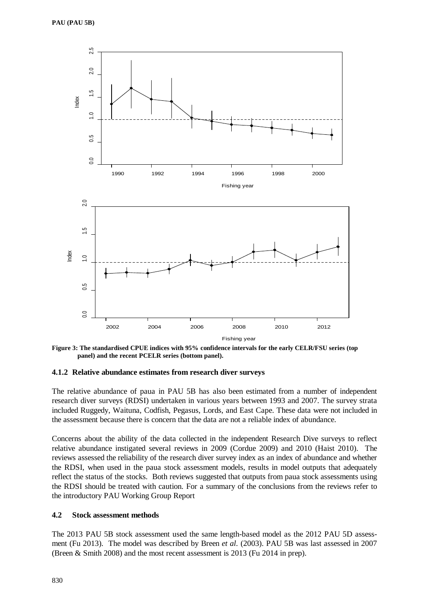

**Figure 3: The standardised CPUE indices with 95% confidence intervals for the early CELR/FSU series (top panel) and the recent PCELR series (bottom panel).**

### **4.1.2 Relative abundance estimates from research diver surveys**

The relative abundance of paua in PAU 5B has also been estimated from a number of independent research diver surveys (RDSI) undertaken in various years between 1993 and 2007. The survey strata included Ruggedy, Waituna, Codfish, Pegasus, Lords, and East Cape. These data were not included in the assessment because there is concern that the data are not a reliable index of abundance.

Concerns about the ability of the data collected in the independent Research Dive surveys to reflect relative abundance instigated several reviews in 2009 (Cordue 2009) and 2010 (Haist 2010). The reviews assessed the reliability of the research diver survey index as an index of abundance and whether the RDSI, when used in the paua stock assessment models, results in model outputs that adequately reflect the status of the stocks. Both reviews suggested that outputs from paua stock assessments using the RDSI should be treated with caution. For a summary of the conclusions from the reviews refer to the introductory PAU Working Group Report

### **4.2 Stock assessment methods**

The 2013 PAU 5B stock assessment used the same length-based model as the 2012 PAU 5D assessment (Fu 2013). The model was described by Breen *et al.* (2003). PAU 5B was last assessed in 2007 (Breen & Smith 2008) and the most recent assessment is 2013 (Fu 2014 in prep).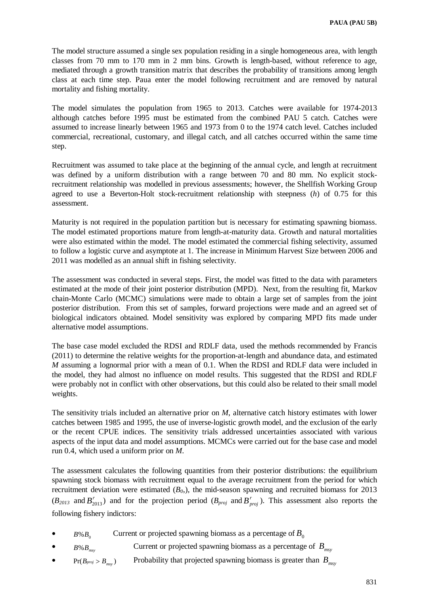The model structure assumed a single sex population residing in a single homogeneous area, with length classes from 70 mm to 170 mm in 2 mm bins. Growth is length-based, without reference to age, mediated through a growth transition matrix that describes the probability of transitions among length class at each time step. Paua enter the model following recruitment and are removed by natural mortality and fishing mortality.

The model simulates the population from 1965 to 2013. Catches were available for 1974-2013 although catches before 1995 must be estimated from the combined PAU 5 catch. Catches were assumed to increase linearly between 1965 and 1973 from 0 to the 1974 catch level. Catches included commercial, recreational, customary, and illegal catch, and all catches occurred within the same time step.

Recruitment was assumed to take place at the beginning of the annual cycle, and length at recruitment was defined by a uniform distribution with a range between 70 and 80 mm. No explicit stockrecruitment relationship was modelled in previous assessments; however, the Shellfish Working Group agreed to use a Beverton-Holt stock-recruitment relationship with steepness (*h*) of 0.75 for this assessment.

Maturity is not required in the population partition but is necessary for estimating spawning biomass. The model estimated proportions mature from length-at-maturity data. Growth and natural mortalities were also estimated within the model. The model estimated the commercial fishing selectivity, assumed to follow a logistic curve and asymptote at 1. The increase in Minimum Harvest Size between 2006 and 2011 was modelled as an annual shift in fishing selectivity.

The assessment was conducted in several steps. First, the model was fitted to the data with parameters estimated at the mode of their joint posterior distribution (MPD). Next, from the resulting fit, Markov chain-Monte Carlo (MCMC) simulations were made to obtain a large set of samples from the joint posterior distribution. From this set of samples, forward projections were made and an agreed set of biological indicators obtained. Model sensitivity was explored by comparing MPD fits made under alternative model assumptions.

The base case model excluded the RDSI and RDLF data, used the methods recommended by Francis (2011) to determine the relative weights for the proportion-at-length and abundance data, and estimated *M* assuming a lognormal prior with a mean of 0.1. When the RDSI and RDLF data were included in the model, they had almost no influence on model results. This suggested that the RDSI and RDLF were probably not in conflict with other observations, but this could also be related to their small model weights.

The sensitivity trials included an alternative prior on *M*, alternative catch history estimates with lower catches between 1985 and 1995, the use of inverse-logistic growth model, and the exclusion of the early or the recent CPUE indices. The sensitivity trials addressed uncertainties associated with various aspects of the input data and model assumptions. MCMCs were carried out for the base case and model run 0.4, which used a uniform prior on *M*.

The assessment calculates the following quantities from their posterior distributions: the equilibrium spawning stock biomass with recruitment equal to the average recruitment from the period for which recruitment deviation were estimated  $(B_0)$ , the mid-season spawning and recruited biomass for 2013  $(B_{2013}$  and  $B_{2013}^r$ ) and for the projection period  $(B_{proj}$  and  $B_{proj}^r$ ). This assessment also reports the following fishery indictors:

- $B\%B_0$  Current or projected spawning biomass as a percentage of  $B_0$
- $B\%B_{\text{msv}}$  Current or projected spawning biomass as a percentage of  $B_{\text{msv}}$
- $Pr(B_{proj} > B_{msv})$  Probability that projected spawning biomass is greater than  $B_{msv}$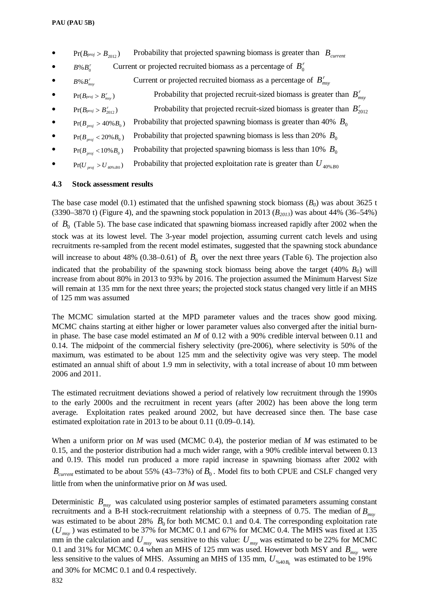- $Pr(B_{proj} > B_{2012})$  Probability that projected spawning biomass is greater than  $B_{current}$
- $B\%B_0^r$  Current or projected recruited biomass as a percentage of  $B_0^r$
- *B*% $B_{\text{mov}}^r$  Current or projected recruited biomass as a percentage of  $B_{\text{mov}}^r$
- $Pr(B_{proj} > B'_{prev})$ Probability that projected recruit-sized biomass is greater than  $B_{mv}^r$
- $Pr(B_{proj} > B_{2012}^r)$ *Probability that projected recruit-sized biomass is greater than*  $B_{2012}^r$
- $Pr(B_{\text{max}} > 40\% B_0)$  Probability that projected spawning biomass is greater than 40%  $B_0$
- $Pr(B_{\text{proj}} < 20\% B_0)$  Probability that projected spawning biomass is less than 20%  $B_0$
- $Pr(B_{\text{proj}} < 10\% B_0)$  Probability that projected spawning biomass is less than 10%  $B_0$
- Pr( $U_{proj} > U_{40\%B0}$ ) Probability that projected exploitation rate is greater than  $U_{40\%B0}$

### **4.3 Stock assessment results**

The base case model  $(0.1)$  estimated that the unfished spawning stock biomass  $(B<sub>0</sub>)$  was about 3625 t (3390–3870 t) (Figure 4), and the spawning stock population in 2013 ( $B_{2013}$ ) was about 44% (36–54%) of  $B_0$  (Table 5). The base case indicated that spawning biomass increased rapidly after 2002 when the stock was at its lowest level. The 3-year model projection, assuming current catch levels and using recruitments re-sampled from the recent model estimates, suggested that the spawning stock abundance will increase to about 48% (0.38–0.61) of  $B_0$  over the next three years (Table 6). The projection also indicated that the probability of the spawning stock biomass being above the target  $(40\% B_0)$  will increase from about 80% in 2013 to 93% by 2016. The projection assumed the Minimum Harvest Size will remain at 135 mm for the next three years; the projected stock status changed very little if an MHS of 125 mm was assumed

The MCMC simulation started at the MPD parameter values and the traces show good mixing. MCMC chains starting at either higher or lower parameter values also converged after the initial burnin phase. The base case model estimated an *M* of 0.12 with a 90% credible interval between 0.11 and 0.14. The midpoint of the commercial fishery selectivity (pre-2006), where selectivity is 50% of the maximum, was estimated to be about 125 mm and the selectivity ogive was very steep. The model estimated an annual shift of about 1.9 mm in selectivity, with a total increase of about 10 mm between 2006 and 2011.

The estimated recruitment deviations showed a period of relatively low recruitment through the 1990s to the early 2000s and the recruitment in recent years (after 2002) has been above the long term average. Exploitation rates peaked around 2002, but have decreased since then. The base case estimated exploitation rate in 2013 to be about 0.11 (0.09–0.14).

When a uniform prior on *M* was used (MCMC 0.4), the posterior median of *M* was estimated to be 0.15, and the posterior distribution had a much wider range, with a 90% credible interval between 0.13 and 0.19. This model run produced a more rapid increase in spawning biomass after 2002 with  $B_{current}$  estimated to be about 55% (43–73%) of  $B_0$ . Model fits to both CPUE and CSLF changed very little from when the uninformative prior on *M* was used.

Deterministic  $B_{\text{msv}}$  was calculated using posterior samples of estimated parameters assuming constant recruitments and a B-H stock-recruitment relationship with a steepness of 0.75. The median of  $B<sub>mvv</sub>$ was estimated to be about 28%  $B_0$  for both MCMC 0.1 and 0.4. The corresponding exploitation rate  $(U_{\text{max}})$  was estimated to be 37% for MCMC 0.1 and 67% for MCMC 0.4. The MHS was fixed at 135 mm in the calculation and  $U_{\text{msv}}$  was sensitive to this value:  $U_{\text{msv}}$  was estimated to be 22% for MCMC 0.1 and 31% for MCMC 0.4 when an MHS of 125 mm was used. However both MSY and  $B_{\text{max}}$  were less sensitive to the values of MHS. Assuming an MHS of 135 mm,  $U_{\gamma_{\phi_4}}$  was estimated to be 19% and 30% for MCMC 0.1 and 0.4 respectively.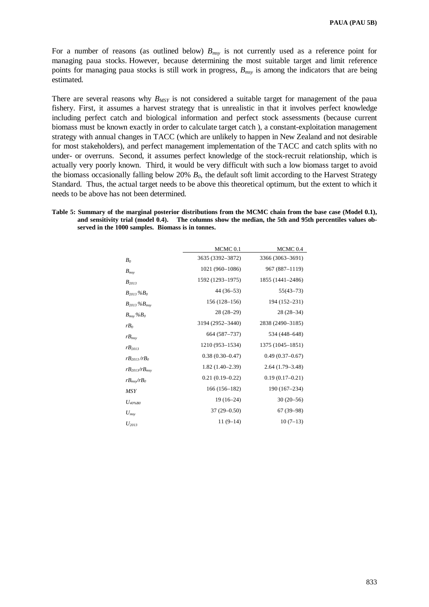For a number of reasons (as outlined below)  $B_{msv}$  is not currently used as a reference point for managing paua stocks. However, because determining the most suitable target and limit reference points for managing paua stocks is still work in progress, *Bmsy* is among the indicators that are being estimated.

There are several reasons why  $B_{MSY}$  is not considered a suitable target for management of the paua fishery. First, it assumes a harvest strategy that is unrealistic in that it involves perfect knowledge including perfect catch and biological information and perfect stock assessments (because current biomass must be known exactly in order to calculate target catch ), a constant-exploitation management strategy with annual changes in TACC (which are unlikely to happen in New Zealand and not desirable for most stakeholders), and perfect management implementation of the TACC and catch splits with no under- or overruns. Second, it assumes perfect knowledge of the stock-recruit relationship, which is actually very poorly known. Third, it would be very difficult with such a low biomass target to avoid the biomass occasionally falling below 20%  $B_0$ , the default soft limit according to the Harvest Strategy Standard. Thus, the actual target needs to be above this theoretical optimum, but the extent to which it needs to be above has not been determined.

**Table 5: Summary of the marginal posterior distributions from the MCMC chain from the base case (Model 0.1), and sensitivity trial (model 0.4). The columns show the median, the 5th and 95th percentiles values observed in the 1000 samples. Biomass is in tonnes.**

|                               | MCMC <sub>0.1</sub> | MCMC <sub>0.4</sub> |
|-------------------------------|---------------------|---------------------|
| B <sub>0</sub>                | 3635 (3392-3872)    | 3366 (3063-3691)    |
| $B_{msv}$                     | 1021 (960-1086)     | 967 (887-1119)      |
| $B_{2013}$                    | 1592 (1293-1975)    | 1855 (1441-2486)    |
| $B_{2013} \% B_0$             | $44(36-53)$         | $55(43 - 73)$       |
| $B_{2013}$ % $B_{\text{msv}}$ | $156(128-156)$      | 194 (152-231)       |
| $B_{msv}$ % $B_0$             | $28(28-29)$         | $28(28-34)$         |
| $rB_0$                        | 3194 (2952-3440)    | 2838 (2490-3185)    |
| $rB_{msv}$                    | 664 (587-737)       | 534 (448-648)       |
| $rB_{2013}$                   | 1210 (953-1534)     | 1375 (1045-1851)    |
| $rB_{2013}/rB_0$              | $0.38(0.30 - 0.47)$ | $0.49(0.37-0.67)$   |
| $rB_{2013}/rB_{msv}$          | $1.82(1.40-2.39)$   | $2.64(1.79-3.48)$   |
| $rB_{ms}$ / $rB_0$            | $0.21(0.19-0.22)$   | $0.19(0.17-0.21)$   |
| <b>MSY</b>                    | $166(156-182)$      | 190 (167-234)       |
| $U_{\text{40\%RO}}$           | $19(16-24)$         | $30(20-56)$         |
| $U_{msv}$                     | $37(29 - 0.50)$     | $67(39-98)$         |
| $U_{2013}$                    | $11(9-14)$          | $10(7-13)$          |
|                               |                     |                     |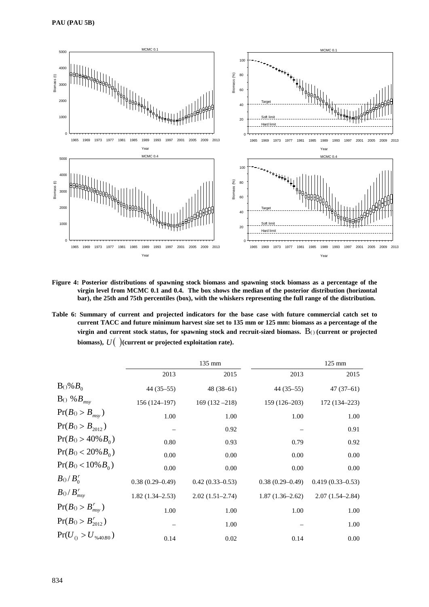

**Figure 4: Posterior distributions of spawning stock biomass and spawning stock biomass as a percentage of the virgin level from MCMC 0.1 and 0.4. The box shows the median of the posterior distribution (horizontal bar), the 25th and 75th percentiles (box), with the whiskers representing the full range of the distribution.** 

**Table 6: Summary of current and projected indicators for the base case with future commercial catch set to current TACC and future minimum harvest size set to 135 mm or 125 mm: biomass as a percentage of the virgin and current stock status, for spawning stock and recruit-sized biomass.** B<sub>()</sub> (current or projected **biomass),** *U*( )**(current or projected exploitation rate).**

|                                               |                     | 135 mm              |                   | $125 \text{ mm}$     |
|-----------------------------------------------|---------------------|---------------------|-------------------|----------------------|
|                                               | 2013                | 2015                | 2013              | 2015                 |
| $B_0\%B_0$                                    | $44(35-55)$         | $48(38-61)$         | $44(35-55)$       | $47(37-61)$          |
| $B_{\left(\right)} \mathcal{A}B_{\text{msy}}$ | 156 (124-197)       | $169(132 - 218)$    | $159(126-203)$    | $172(134 - 223)$     |
| $Pr(B_0 > B_{msv})$                           | 1.00                | 1.00                | 1.00              | 1.00                 |
| $Pr(B_0 > B_{2012})$                          |                     | 0.92                |                   | 0.91                 |
| $Pr(B_0 > 40\% B_0)$                          | 0.80                | 0.93                | 0.79              | 0.92                 |
| $Pr(B_0 < 20\% B_0)$                          | 0.00                | 0.00                | 0.00              | $0.00\,$             |
| $Pr(B_0 < 10\% B_0)$                          | 0.00                | 0.00                | 0.00              | 0.00                 |
| $B_0/B_0^r$                                   | $0.38(0.29 - 0.49)$ | $0.42(0.33 - 0.53)$ | $0.38(0.29-0.49)$ | $0.419(0.33 - 0.53)$ |
| $B_0/B_{msy}^r$                               | $1.82(1.34 - 2.53)$ | $2.02(1.51-2.74)$   | $1.87(1.36-2.62)$ | $2.07(1.54 - 2.84)$  |
| $Pr(B_0 > B_{msv}^r)$                         | 1.00                | 1.00                | 1.00              | 1.00                 |
| $Pr(B_0 > B'_{2012})$                         |                     | 1.00                |                   | 1.00                 |
| $Pr(U_0 > U_{\frac{\%40B0}{}})$               | 0.14                | 0.02                | 0.14              | 0.00                 |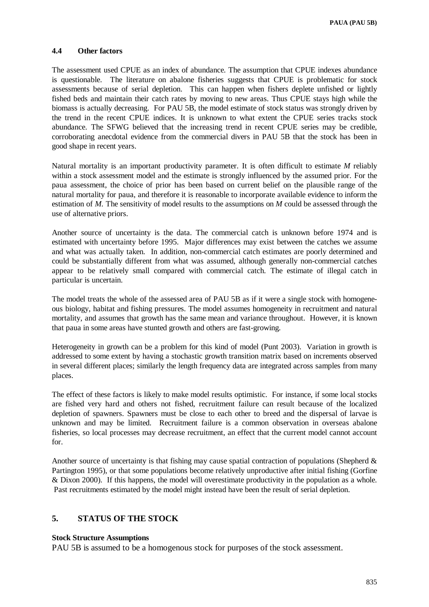### **4.4 Other factors**

The assessment used CPUE as an index of abundance. The assumption that CPUE indexes abundance is questionable. The literature on abalone fisheries suggests that CPUE is problematic for stock assessments because of serial depletion. This can happen when fishers deplete unfished or lightly fished beds and maintain their catch rates by moving to new areas. Thus CPUE stays high while the biomass is actually decreasing. For PAU 5B, the model estimate of stock status was strongly driven by the trend in the recent CPUE indices. It is unknown to what extent the CPUE series tracks stock abundance. The SFWG believed that the increasing trend in recent CPUE series may be credible, corroborating anecdotal evidence from the commercial divers in PAU 5B that the stock has been in good shape in recent years.

Natural mortality is an important productivity parameter. It is often difficult to estimate *M* reliably within a stock assessment model and the estimate is strongly influenced by the assumed prior. For the paua assessment, the choice of prior has been based on current belief on the plausible range of the natural mortality for paua, and therefore it is reasonable to incorporate available evidence to inform the estimation of *M*. The sensitivity of model results to the assumptions on *M* could be assessed through the use of alternative priors.

Another source of uncertainty is the data. The commercial catch is unknown before 1974 and is estimated with uncertainty before 1995. Major differences may exist between the catches we assume and what was actually taken. In addition, non-commercial catch estimates are poorly determined and could be substantially different from what was assumed, although generally non-commercial catches appear to be relatively small compared with commercial catch. The estimate of illegal catch in particular is uncertain.

The model treats the whole of the assessed area of PAU 5B as if it were a single stock with homogeneous biology, habitat and fishing pressures. The model assumes homogeneity in recruitment and natural mortality, and assumes that growth has the same mean and variance throughout. However, it is known that paua in some areas have stunted growth and others are fast-growing.

Heterogeneity in growth can be a problem for this kind of model (Punt 2003). Variation in growth is addressed to some extent by having a stochastic growth transition matrix based on increments observed in several different places; similarly the length frequency data are integrated across samples from many places.

The effect of these factors is likely to make model results optimistic. For instance, if some local stocks are fished very hard and others not fished, recruitment failure can result because of the localized depletion of spawners. Spawners must be close to each other to breed and the dispersal of larvae is unknown and may be limited. Recruitment failure is a common observation in overseas abalone fisheries, so local processes may decrease recruitment, an effect that the current model cannot account for.

Another source of uncertainty is that fishing may cause spatial contraction of populations (Shepherd & Partington 1995), or that some populations become relatively unproductive after initial fishing (Gorfine & Dixon 2000). If this happens, the model will overestimate productivity in the population as a whole. Past recruitments estimated by the model might instead have been the result of serial depletion.

# **5. STATUS OF THE STOCK**

### **Stock Structure Assumptions**

PAU 5B is assumed to be a homogenous stock for purposes of the stock assessment.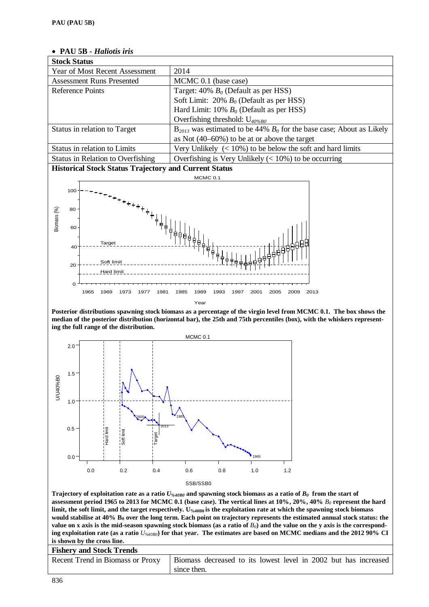| — ГАС ЭД <del>-</del> ПШШК ІІВ                                                                              |                                                               |  |
|-------------------------------------------------------------------------------------------------------------|---------------------------------------------------------------|--|
| <b>Stock Status</b>                                                                                         |                                                               |  |
| Year of Most Recent Assessment                                                                              | 2014                                                          |  |
| <b>Assessment Runs Presented</b>                                                                            | MCMC 0.1 (base case)                                          |  |
| Reference Points                                                                                            | Target: 40% $B_0$ (Default as per HSS)                        |  |
|                                                                                                             | Soft Limit: 20% $B_0$ (Default as per HSS)                    |  |
|                                                                                                             | Hard Limit: 10% $B_0$ (Default as per HSS)                    |  |
|                                                                                                             | Overfishing threshold: $U_{40\%B0}$                           |  |
| $B_{2013}$ was estimated to be 44% $B_0$ for the base case; About as Likely<br>Status in relation to Target |                                                               |  |
|                                                                                                             | as Not $(40-60\%)$ to be at or above the target               |  |
| Status in relation to Limits                                                                                | Very Unlikely $(< 10\%)$ to be below the soft and hard limits |  |
| Overfishing is Very Unlikely $(< 10\%)$ to be occurring<br><b>Status in Relation to Overfishing</b>         |                                                               |  |
| <b>Historical Stock Status Trajectory and Current Status</b>                                                |                                                               |  |

# • **PAU 5B -** *Haliotis iris*

1965 1969 1973 1977 1981 1985 1989 1993 1997 2001 2005 2009 2013  $\Omega$ 20 40  $60$ 80 100 Year Biomass (%) Hard limit Soft limit Target MCMC 0.1

**Posterior distributions spawning stock biomass as a percentage of the virgin level from MCMC 0.1. The box shows the median of the posterior distribution (horizontal bar), the 25th and 75th percentiles (box), with the whiskers representing the full range of the distribution.** 



**Trajectory of exploitation rate as a ratio** *U%40B0* **and spawning stock biomass as a ratio of** *B0* **from the start of assessment period 1965 to 2013 for MCMC 0.1 (base case). The vertical lines at 10%, 20%, 40%**  $B_0$  **represent the hard** limit, the soft limit, and the target respectively. U<sub>%40B0</sub> is the exploitation rate at which the spawning stock biomass would stabilise at 40% B<sub>0</sub> over the long term. Each point on trajectory represents the estimated annual stock status: the value on x axis is the mid-season spawning stock biomass (as a ratio of  $B<sub>0</sub>$ ) and the value on the y axis is the correspond**ing exploitation rate (as a ratio** *U%40B0***) for that year. The estimates are based on MCMC medians and the 2012 90% CI is shown by the cross line.**

### **Fishery and Stock Trends**

| Recent Trend in Biomass or Proxy   Biomass decreased to its lowest level in 2002 but has increased |
|----------------------------------------------------------------------------------------------------|
| since then.                                                                                        |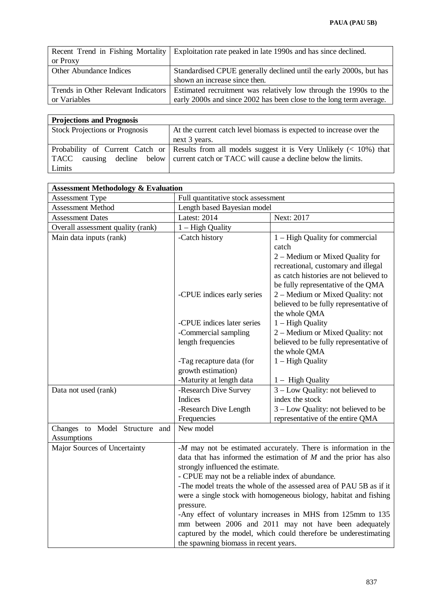|                                     | Recent Trend in Fishing Mortality   Exploitation rate peaked in late 1990s and has since declined. |  |
|-------------------------------------|----------------------------------------------------------------------------------------------------|--|
| or Proxy                            |                                                                                                    |  |
| Other Abundance Indices             | Standardised CPUE generally declined until the early 2000s, but has                                |  |
|                                     | shown an increase since then.                                                                      |  |
| Trends in Other Relevant Indicators | Estimated recruitment was relatively low through the 1990s to the                                  |  |
| or Variables                        | early 2000s and since 2002 has been close to the long term average.                                |  |

| <b>Projections and Prognosis</b>      |                                                                                                         |  |  |
|---------------------------------------|---------------------------------------------------------------------------------------------------------|--|--|
| <b>Stock Projections or Prognosis</b> | At the current catch level biomass is expected to increase over the                                     |  |  |
|                                       | next 3 years.                                                                                           |  |  |
|                                       | Probability of Current Catch or Results from all models suggest it is Very Unlikely $($ ( $>$ 10%) that |  |  |
| <b>TACC</b>                           | causing decline below current catch or TACC will cause a decline below the limits.                      |  |  |
| Limits                                |                                                                                                         |  |  |

| <b>Assessment Methodology &amp; Evaluation</b> |                                                   |                                                                     |  |  |
|------------------------------------------------|---------------------------------------------------|---------------------------------------------------------------------|--|--|
| <b>Assessment Type</b>                         | Full quantitative stock assessment                |                                                                     |  |  |
| <b>Assessment Method</b>                       | Length based Bayesian model                       |                                                                     |  |  |
| <b>Assessment Dates</b>                        | <b>Latest: 2014</b><br>Next: 2017                 |                                                                     |  |  |
| Overall assessment quality (rank)              | $1 - High Quality$                                |                                                                     |  |  |
| Main data inputs (rank)                        | -Catch history                                    | 1 – High Quality for commercial                                     |  |  |
|                                                |                                                   | catch                                                               |  |  |
|                                                |                                                   | 2 – Medium or Mixed Quality for                                     |  |  |
|                                                |                                                   | recreational, customary and illegal                                 |  |  |
|                                                |                                                   | as catch histories are not believed to                              |  |  |
|                                                |                                                   | be fully representative of the QMA                                  |  |  |
|                                                | -CPUE indices early series                        | 2 – Medium or Mixed Quality: not                                    |  |  |
|                                                |                                                   | believed to be fully representative of                              |  |  |
|                                                |                                                   | the whole QMA                                                       |  |  |
|                                                | -CPUE indices later series                        | $1 - High Quality$                                                  |  |  |
|                                                | -Commercial sampling                              | 2 – Medium or Mixed Quality: not                                    |  |  |
|                                                | length frequencies                                | believed to be fully representative of                              |  |  |
|                                                |                                                   | the whole QMA                                                       |  |  |
|                                                | -Tag recapture data (for                          | 1 - High Quality                                                    |  |  |
|                                                | growth estimation)                                |                                                                     |  |  |
|                                                | -Maturity at length data<br>-Research Dive Survey | $1 - High Quality$<br>3 – Low Quality: not believed to              |  |  |
| Data not used (rank)                           | Indices                                           | index the stock                                                     |  |  |
|                                                | -Research Dive Length                             | 3 – Low Quality: not believed to be                                 |  |  |
|                                                | Frequencies                                       | representative of the entire QMA                                    |  |  |
| Changes to Model Structure and                 | New model                                         |                                                                     |  |  |
| <b>Assumptions</b>                             |                                                   |                                                                     |  |  |
| Major Sources of Uncertainty                   |                                                   | -M may not be estimated accurately. There is information in the     |  |  |
|                                                |                                                   | data that has informed the estimation of $M$ and the prior has also |  |  |
|                                                | strongly influenced the estimate.                 |                                                                     |  |  |
|                                                | - CPUE may not be a reliable index of abundance.  |                                                                     |  |  |
|                                                |                                                   | -The model treats the whole of the assessed area of PAU 5B as if it |  |  |
|                                                |                                                   | were a single stock with homogeneous biology, habitat and fishing   |  |  |
|                                                | pressure.                                         |                                                                     |  |  |
|                                                |                                                   | -Any effect of voluntary increases in MHS from 125mm to 135         |  |  |
|                                                |                                                   | mm between 2006 and 2011 may not have been adequately               |  |  |
|                                                |                                                   | captured by the model, which could therefore be underestimating     |  |  |
|                                                | the spawning biomass in recent years.             |                                                                     |  |  |